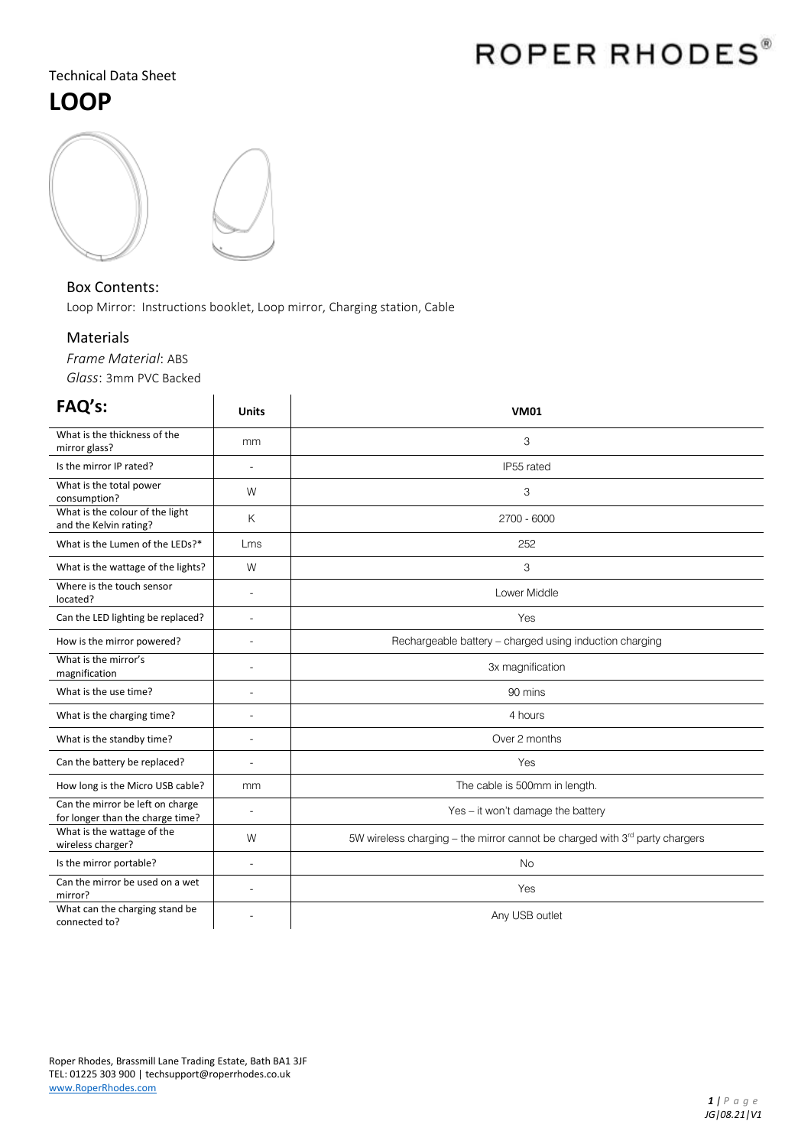# ROPER RHODES®

### Technical Data Sheet **LOOP**



#### Box Contents:

Loop Mirror: Instructions booklet, Loop mirror, Charging station, Cable

### Materials

*Frame Material*: ABS *Glass*: 3mm PVC Backed

| FAQ's:                                                               | <b>Units</b>   | <b>VM01</b>                                                                 |
|----------------------------------------------------------------------|----------------|-----------------------------------------------------------------------------|
| What is the thickness of the<br>mirror glass?                        | mm             | 3                                                                           |
| Is the mirror IP rated?                                              | $\overline{a}$ | IP55 rated                                                                  |
| What is the total power<br>consumption?                              | W              | 3                                                                           |
| What is the colour of the light<br>and the Kelvin rating?            | K              | 2700 - 6000                                                                 |
| What is the Lumen of the LEDs?*                                      | Lms            | 252                                                                         |
| What is the wattage of the lights?                                   | W              | 3                                                                           |
| Where is the touch sensor<br>located?                                | L,             | Lower Middle                                                                |
| Can the LED lighting be replaced?                                    | L,             | Yes                                                                         |
| How is the mirror powered?                                           | $\overline{a}$ | Rechargeable battery - charged using induction charging                     |
| What is the mirror's<br>magnification                                | L.             | 3x magnification                                                            |
| What is the use time?                                                | ÷              | 90 mins                                                                     |
| What is the charging time?                                           | ÷              | 4 hours                                                                     |
| What is the standby time?                                            | L,             | Over 2 months                                                               |
| Can the battery be replaced?                                         | $\overline{a}$ | Yes                                                                         |
| How long is the Micro USB cable?                                     | mm             | The cable is 500mm in length.                                               |
| Can the mirror be left on charge<br>for longer than the charge time? | $\overline{a}$ | Yes – it won't damage the battery                                           |
| What is the wattage of the<br>wireless charger?                      | W              | 5W wireless charging - the mirror cannot be charged with 3rd party chargers |
| Is the mirror portable?                                              | L,             | <b>No</b>                                                                   |
| Can the mirror be used on a wet<br>mirror?                           | L.             | Yes                                                                         |
| What can the charging stand be<br>connected to?                      |                | Any USB outlet                                                              |